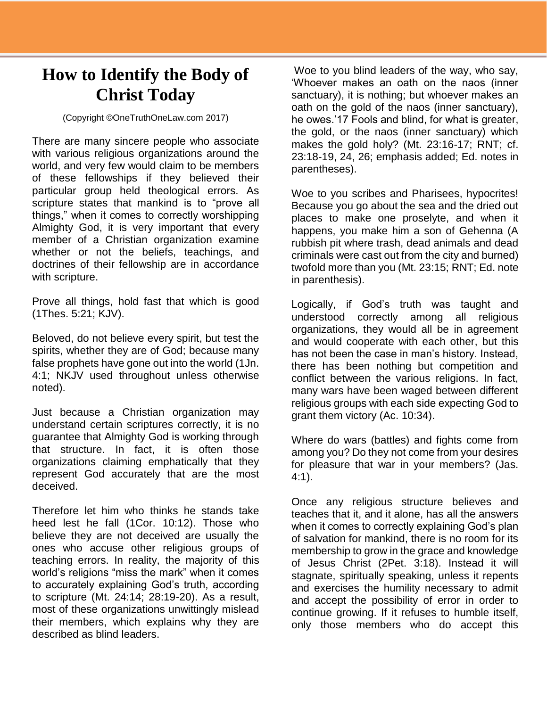## **How to Identify the Body of Christ Today**

(Copyright ©OneTruthOneLaw.com 2017)

There are many sincere people who associate with various religious organizations around the world, and very few would claim to be members of these fellowships if they believed their particular group held theological errors. As scripture states that mankind is to "prove all things," when it comes to correctly worshipping Almighty God, it is very important that every member of a Christian organization examine whether or not the beliefs, teachings, and doctrines of their fellowship are in accordance with scripture.

Prove all things, hold fast that which is good (1Thes. 5:21; KJV).

Beloved, do not believe every spirit, but test the spirits, whether they are of God; because many false prophets have gone out into the world (1Jn. 4:1; NKJV used throughout unless otherwise noted).

Just because a Christian organization may understand certain scriptures correctly, it is no guarantee that Almighty God is working through that structure. In fact, it is often those organizations claiming emphatically that they represent God accurately that are the most deceived.

Therefore let him who thinks he stands take heed lest he fall (1Cor. 10:12). Those who believe they are not deceived are usually the ones who accuse other religious groups of teaching errors. In reality, the majority of this world's religions "miss the mark" when it comes to accurately explaining God's truth, according to scripture (Mt. 24:14; 28:19-20). As a result, most of these organizations unwittingly mislead their members, which explains why they are described as blind leaders.

Woe to you blind leaders of the way, who say, 'Whoever makes an oath on the naos (inner sanctuary), it is nothing; but whoever makes an oath on the gold of the naos (inner sanctuary), he owes.'17 Fools and blind, for what is greater, the gold, or the naos (inner sanctuary) which makes the gold holy? (Mt. 23:16-17; RNT; cf. 23:18-19, 24, 26; emphasis added; Ed. notes in parentheses).

Woe to you scribes and Pharisees, hypocrites! Because you go about the sea and the dried out places to make one proselyte, and when it happens, you make him a son of Gehenna (A rubbish pit where trash, dead animals and dead criminals were cast out from the city and burned) twofold more than you (Mt. 23:15; RNT; Ed. note in parenthesis).

Logically, if God's truth was taught and understood correctly among all religious organizations, they would all be in agreement and would cooperate with each other, but this has not been the case in man's history. Instead, there has been nothing but competition and conflict between the various religions. In fact, many wars have been waged between different religious groups with each side expecting God to grant them victory (Ac. 10:34).

Where do wars (battles) and fights come from among you? Do they not come from your desires for pleasure that war in your members? (Jas. 4:1).

Once any religious structure believes and teaches that it, and it alone, has all the answers when it comes to correctly explaining God's plan of salvation for mankind, there is no room for its membership to grow in the grace and knowledge of Jesus Christ (2Pet. 3:18). Instead it will stagnate, spiritually speaking, unless it repents and exercises the humility necessary to admit and accept the possibility of error in order to continue growing. If it refuses to humble itself, only those members who do accept this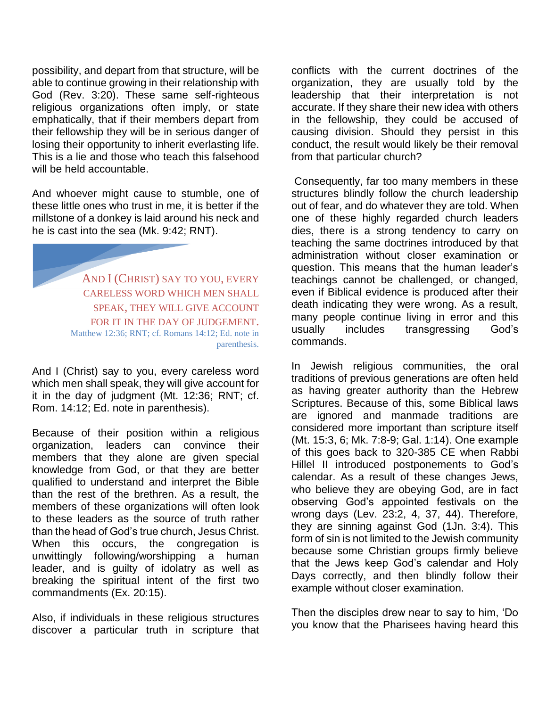possibility, and depart from that structure, will be able to continue growing in their relationship with God (Rev. 3:20). These same self-righteous religious organizations often imply, or state emphatically, that if their members depart from their fellowship they will be in serious danger of losing their opportunity to inherit everlasting life. This is a lie and those who teach this falsehood will be held accountable.

And whoever might cause to stumble, one of these little ones who trust in me, it is better if the millstone of a donkey is laid around his neck and he is cast into the sea (Mk. 9:42; RNT).

> AND I (CHRIST) SAY TO YOU, EVERY CARELESS WORD WHICH MEN SHALL SPEAK, THEY WILL GIVE ACCOUNT FOR IT IN THE DAY OF JUDGEMENT. Matthew 12:36; RNT; cf. Romans 14:12; Ed. note in parenthesis.

And I (Christ) say to you, every careless word which men shall speak, they will give account for it in the day of judgment (Mt. 12:36; RNT; cf. Rom. 14:12; Ed. note in parenthesis).

Because of their position within a religious organization, leaders can convince their members that they alone are given special knowledge from God, or that they are better qualified to understand and interpret the Bible than the rest of the brethren. As a result, the members of these organizations will often look to these leaders as the source of truth rather than the head of God's true church, Jesus Christ. When this occurs, the congregation is unwittingly following/worshipping a human leader, and is guilty of idolatry as well as breaking the spiritual intent of the first two commandments (Ex. 20:15).

Also, if individuals in these religious structures discover a particular truth in scripture that

conflicts with the current doctrines of the organization, they are usually told by the leadership that their interpretation is not accurate. If they share their new idea with others in the fellowship, they could be accused of causing division. Should they persist in this conduct, the result would likely be their removal from that particular church?

Consequently, far too many members in these structures blindly follow the church leadership out of fear, and do whatever they are told. When one of these highly regarded church leaders dies, there is a strong tendency to carry on teaching the same doctrines introduced by that administration without closer examination or question. This means that the human leader's teachings cannot be challenged, or changed, even if Biblical evidence is produced after their death indicating they were wrong. As a result, many people continue living in error and this usually includes transgressing God's commands.

In Jewish religious communities, the oral traditions of previous generations are often held as having greater authority than the Hebrew Scriptures. Because of this, some Biblical laws are ignored and manmade traditions are considered more important than scripture itself (Mt. 15:3, 6; Mk. 7:8-9; Gal. 1:14). One example of this goes back to 320-385 CE when Rabbi Hillel II introduced postponements to God's calendar. As a result of these changes Jews, who believe they are obeying God, are in fact observing God's appointed festivals on the wrong days (Lev. 23:2, 4, 37, 44). Therefore, they are sinning against God (1Jn. 3:4). This form of sin is not limited to the Jewish community because some Christian groups firmly believe that the Jews keep God's calendar and Holy Days correctly, and then blindly follow their example without closer examination.

Then the disciples drew near to say to him, 'Do you know that the Pharisees having heard this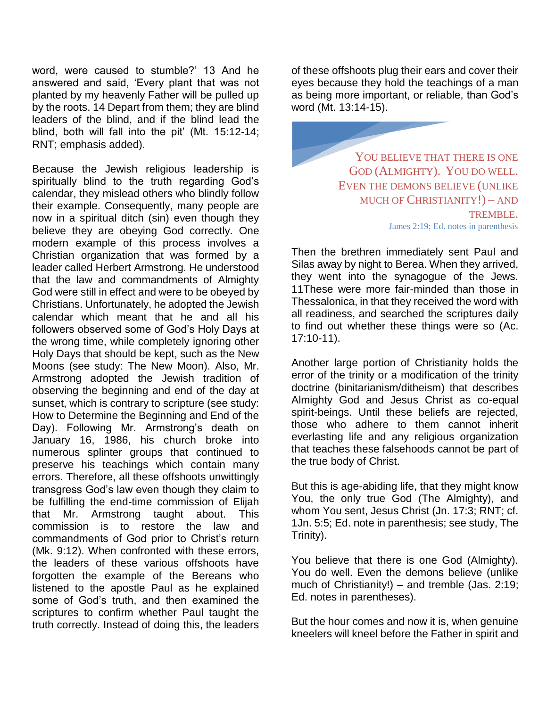word, were caused to stumble?' 13 And he answered and said, 'Every plant that was not planted by my heavenly Father will be pulled up by the roots. 14 Depart from them; they are blind leaders of the blind, and if the blind lead the blind, both will fall into the pit' (Mt. 15:12-14; RNT; emphasis added).

Because the Jewish religious leadership is spiritually blind to the truth regarding God's calendar, they mislead others who blindly follow their example. Consequently, many people are now in a spiritual ditch (sin) even though they believe they are obeying God correctly. One modern example of this process involves a Christian organization that was formed by a leader called Herbert Armstrong. He understood that the law and commandments of Almighty God were still in effect and were to be obeyed by Christians. Unfortunately, he adopted the Jewish calendar which meant that he and all his followers observed some of God's Holy Days at the wrong time, while completely ignoring other Holy Days that should be kept, such as the New Moons (see study: The New Moon). Also, Mr. Armstrong adopted the Jewish tradition of observing the beginning and end of the day at sunset, which is contrary to scripture (see study: How to Determine the Beginning and End of the Day). Following Mr. Armstrong's death on January 16, 1986, his church broke into numerous splinter groups that continued to preserve his teachings which contain many errors. Therefore, all these offshoots unwittingly transgress God's law even though they claim to be fulfilling the end-time commission of Elijah that Mr. Armstrong taught about. This commission is to restore the law and commandments of God prior to Christ's return (Mk. 9:12). When confronted with these errors, the leaders of these various offshoots have forgotten the example of the Bereans who listened to the apostle Paul as he explained some of God's truth, and then examined the scriptures to confirm whether Paul taught the truth correctly. Instead of doing this, the leaders

of these offshoots plug their ears and cover their eyes because they hold the teachings of a man as being more important, or reliable, than God's word (Mt. 13:14-15).

> YOU BELIEVE THAT THERE IS ONE GOD (ALMIGHTY). YOU DO WELL. EVEN THE DEMONS BELIEVE (UNLIKE MUCH OF CHRISTIANITY!) – AND TREMBLE. James 2:19; Ed. notes in parenthesis

Then the brethren immediately sent Paul and Silas away by night to Berea. When they arrived, they went into the synagogue of the Jews. 11These were more fair-minded than those in Thessalonica, in that they received the word with all readiness, and searched the scriptures daily to find out whether these things were so (Ac. 17:10-11).

Another large portion of Christianity holds the error of the trinity or a modification of the trinity doctrine (binitarianism/ditheism) that describes Almighty God and Jesus Christ as co-equal spirit-beings. Until these beliefs are rejected, those who adhere to them cannot inherit everlasting life and any religious organization that teaches these falsehoods cannot be part of the true body of Christ.

But this is age-abiding life, that they might know You, the only true God (The Almighty), and whom You sent, Jesus Christ (Jn. 17:3; RNT; cf. 1Jn. 5:5; Ed. note in parenthesis; see study, The Trinity).

You believe that there is one God (Almighty). You do well. Even the demons believe (unlike much of Christianity!) – and tremble (Jas. 2:19; Ed. notes in parentheses).

But the hour comes and now it is, when genuine kneelers will kneel before the Father in spirit and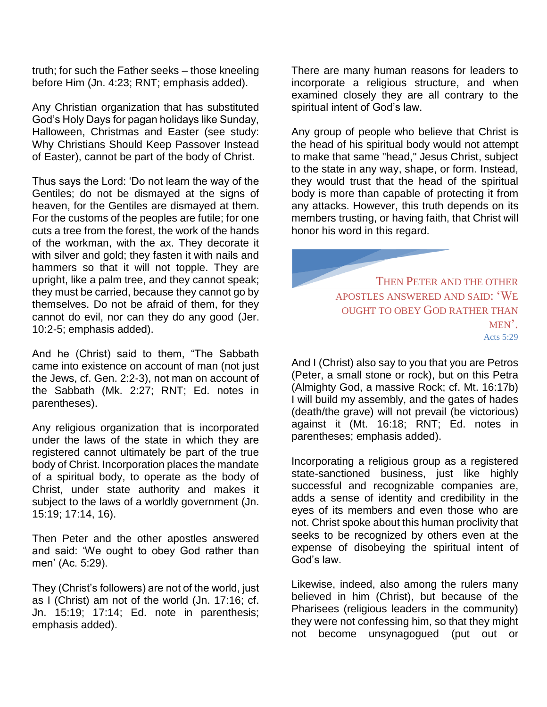truth; for such the Father seeks – those kneeling before Him (Jn. 4:23; RNT; emphasis added).

Any Christian organization that has substituted God's Holy Days for pagan holidays like Sunday, Halloween, Christmas and Easter (see study: Why Christians Should Keep Passover Instead of Easter), cannot be part of the body of Christ.

Thus says the Lord: 'Do not learn the way of the Gentiles; do not be dismayed at the signs of heaven, for the Gentiles are dismayed at them. For the customs of the peoples are futile; for one cuts a tree from the forest, the work of the hands of the workman, with the ax. They decorate it with silver and gold; they fasten it with nails and hammers so that it will not topple. They are upright, like a palm tree, and they cannot speak; they must be carried, because they cannot go by themselves. Do not be afraid of them, for they cannot do evil, nor can they do any good (Jer. 10:2-5; emphasis added).

And he (Christ) said to them, "The Sabbath came into existence on account of man (not just the Jews, cf. Gen. 2:2-3), not man on account of the Sabbath (Mk. 2:27; RNT; Ed. notes in parentheses).

Any religious organization that is incorporated under the laws of the state in which they are registered cannot ultimately be part of the true body of Christ. Incorporation places the mandate of a spiritual body, to operate as the body of Christ, under state authority and makes it subject to the laws of a worldly government (Jn. 15:19; 17:14, 16).

Then Peter and the other apostles answered and said: 'We ought to obey God rather than men' (Ac. 5:29).

They (Christ's followers) are not of the world, just as I (Christ) am not of the world (Jn. 17:16; cf. Jn. 15:19; 17:14; Ed. note in parenthesis; emphasis added).

There are many human reasons for leaders to incorporate a religious structure, and when examined closely they are all contrary to the spiritual intent of God's law.

Any group of people who believe that Christ is the head of his spiritual body would not attempt to make that same "head," Jesus Christ, subject to the state in any way, shape, or form. Instead, they would trust that the head of the spiritual body is more than capable of protecting it from any attacks. However, this truth depends on its members trusting, or having faith, that Christ will honor his word in this regard.

> THEN PETER AND THE OTHER APOSTLES ANSWERED AND SAID: 'WE OUGHT TO OBEY GOD RATHER THAN MEN'. Acts 5:29

And I (Christ) also say to you that you are Petros (Peter, a small stone or rock), but on this Petra (Almighty God, a massive Rock; cf. Mt. 16:17b) I will build my assembly, and the gates of hades (death/the grave) will not prevail (be victorious) against it (Mt. 16:18; RNT; Ed. notes in parentheses; emphasis added).

Incorporating a religious group as a registered state-sanctioned business, just like highly successful and recognizable companies are, adds a sense of identity and credibility in the eyes of its members and even those who are not. Christ spoke about this human proclivity that seeks to be recognized by others even at the expense of disobeying the spiritual intent of God's law.

Likewise, indeed, also among the rulers many believed in him (Christ), but because of the Pharisees (religious leaders in the community) they were not confessing him, so that they might not become unsynagogued (put out or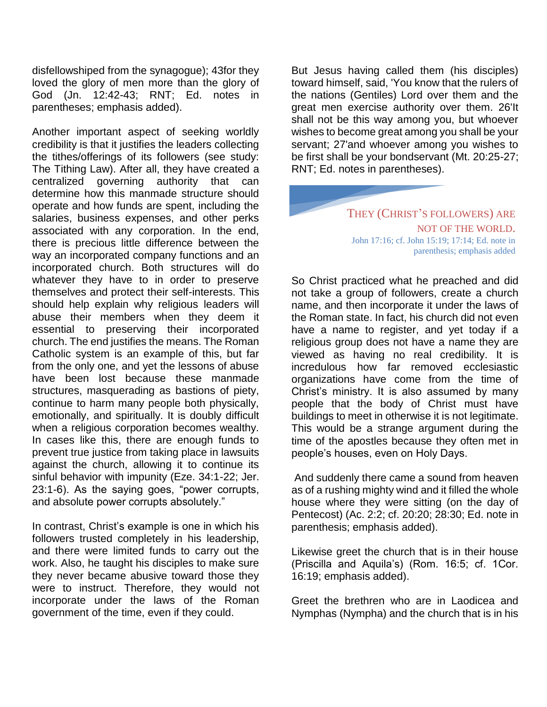disfellowshiped from the synagogue); 43for they loved the glory of men more than the glory of God (Jn. 12:42-43; RNT; Ed. notes in parentheses; emphasis added).

Another important aspect of seeking worldly credibility is that it justifies the leaders collecting the tithes/offerings of its followers (see study: The Tithing Law). After all, they have created a centralized governing authority that can determine how this manmade structure should operate and how funds are spent, including the salaries, business expenses, and other perks associated with any corporation. In the end, there is precious little difference between the way an incorporated company functions and an incorporated church. Both structures will do whatever they have to in order to preserve themselves and protect their self-interests. This should help explain why religious leaders will abuse their members when they deem it essential to preserving their incorporated church. The end justifies the means. The Roman Catholic system is an example of this, but far from the only one, and yet the lessons of abuse have been lost because these manmade structures, masquerading as bastions of piety, continue to harm many people both physically, emotionally, and spiritually. It is doubly difficult when a religious corporation becomes wealthy. In cases like this, there are enough funds to prevent true justice from taking place in lawsuits against the church, allowing it to continue its sinful behavior with impunity (Eze. 34:1-22; Jer. 23:1-6). As the saying goes, "power corrupts, and absolute power corrupts absolutely."

In contrast, Christ's example is one in which his followers trusted completely in his leadership, and there were limited funds to carry out the work. Also, he taught his disciples to make sure they never became abusive toward those they were to instruct. Therefore, they would not incorporate under the laws of the Roman government of the time, even if they could.

But Jesus having called them (his disciples) toward himself, said, 'You know that the rulers of the nations (Gentiles) Lord over them and the great men exercise authority over them. 26'It shall not be this way among you, but whoever wishes to become great among you shall be your servant; 27'and whoever among you wishes to be first shall be your bondservant (Mt. 20:25-27; RNT; Ed. notes in parentheses).

> THEY (CHRIST'S FOLLOWERS) ARE NOT OF THE WORLD. John 17:16; cf. John 15:19; 17:14; Ed. note in parenthesis; emphasis added

So Christ practiced what he preached and did not take a group of followers, create a church name, and then incorporate it under the laws of the Roman state. In fact, his church did not even have a name to register, and yet today if a religious group does not have a name they are viewed as having no real credibility. It is incredulous how far removed ecclesiastic organizations have come from the time of Christ's ministry. It is also assumed by many people that the body of Christ must have buildings to meet in otherwise it is not legitimate. This would be a strange argument during the time of the apostles because they often met in people's houses, even on Holy Days.

And suddenly there came a sound from heaven as of a rushing mighty wind and it filled the whole house where they were sitting (on the day of Pentecost) (Ac. 2:2; cf. 20:20; 28:30; Ed. note in parenthesis; emphasis added).

Likewise greet the church that is in their house (Priscilla and Aquila's) (Rom. 16:5; cf. 1Cor. 16:19; emphasis added).

Greet the brethren who are in Laodicea and Nymphas (Nympha) and the church that is in his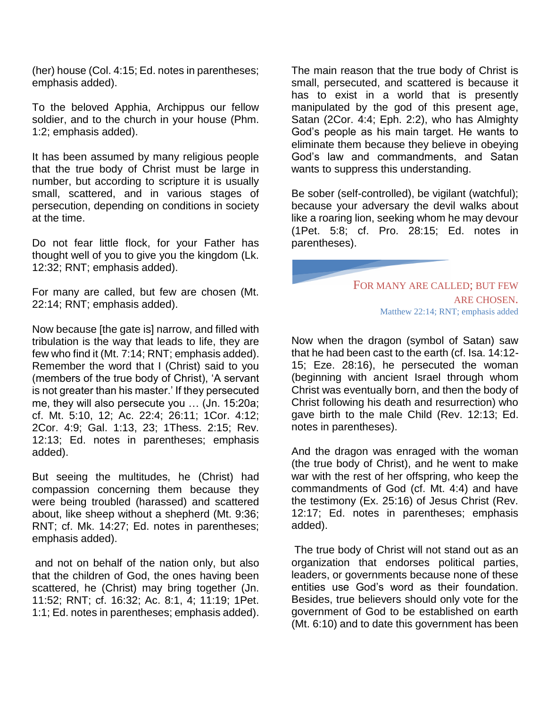(her) house (Col. 4:15; Ed. notes in parentheses; emphasis added).

To the beloved Apphia, Archippus our fellow soldier, and to the church in your house (Phm. 1:2; emphasis added).

It has been assumed by many religious people that the true body of Christ must be large in number, but according to scripture it is usually small, scattered, and in various stages of persecution, depending on conditions in society at the time.

Do not fear little flock, for your Father has thought well of you to give you the kingdom (Lk. 12:32; RNT; emphasis added).

For many are called, but few are chosen (Mt. 22:14; RNT; emphasis added).

Now because [the gate is] narrow, and filled with tribulation is the way that leads to life, they are few who find it (Mt. 7:14; RNT; emphasis added). Remember the word that I (Christ) said to you (members of the true body of Christ), 'A servant is not greater than his master.' If they persecuted me, they will also persecute you … (Jn. 15:20a; cf. Mt. 5:10, 12; Ac. 22:4; 26:11; 1Cor. 4:12; 2Cor. 4:9; Gal. 1:13, 23; 1Thess. 2:15; Rev. 12:13; Ed. notes in parentheses; emphasis added).

But seeing the multitudes, he (Christ) had compassion concerning them because they were being troubled (harassed) and scattered about, like sheep without a shepherd (Mt. 9:36; RNT; cf. Mk. 14:27; Ed. notes in parentheses; emphasis added).

and not on behalf of the nation only, but also that the children of God, the ones having been scattered, he (Christ) may bring together (Jn. 11:52; RNT; cf. 16:32; Ac. 8:1, 4; 11:19; 1Pet. 1:1; Ed. notes in parentheses; emphasis added).

The main reason that the true body of Christ is small, persecuted, and scattered is because it has to exist in a world that is presently manipulated by the god of this present age, Satan (2Cor. 4:4; Eph. 2:2), who has Almighty God's people as his main target. He wants to eliminate them because they believe in obeying God's law and commandments, and Satan wants to suppress this understanding.

Be sober (self-controlled), be vigilant (watchful); because your adversary the devil walks about like a roaring lion, seeking whom he may devour (1Pet. 5:8; cf. Pro. 28:15; Ed. notes in parentheses).

> FOR MANY ARE CALLED; BUT FEW ARE CHOSEN. Matthew 22:14; RNT; emphasis added

Now when the dragon (symbol of Satan) saw that he had been cast to the earth (cf. Isa. 14:12- 15; Eze. 28:16), he persecuted the woman (beginning with ancient Israel through whom Christ was eventually born, and then the body of Christ following his death and resurrection) who gave birth to the male Child (Rev. 12:13; Ed. notes in parentheses).

And the dragon was enraged with the woman (the true body of Christ), and he went to make war with the rest of her offspring, who keep the commandments of God (cf. Mt. 4:4) and have the testimony (Ex. 25:16) of Jesus Christ (Rev. 12:17; Ed. notes in parentheses; emphasis added).

The true body of Christ will not stand out as an organization that endorses political parties, leaders, or governments because none of these entities use God's word as their foundation. Besides, true believers should only vote for the government of God to be established on earth (Mt. 6:10) and to date this government has been